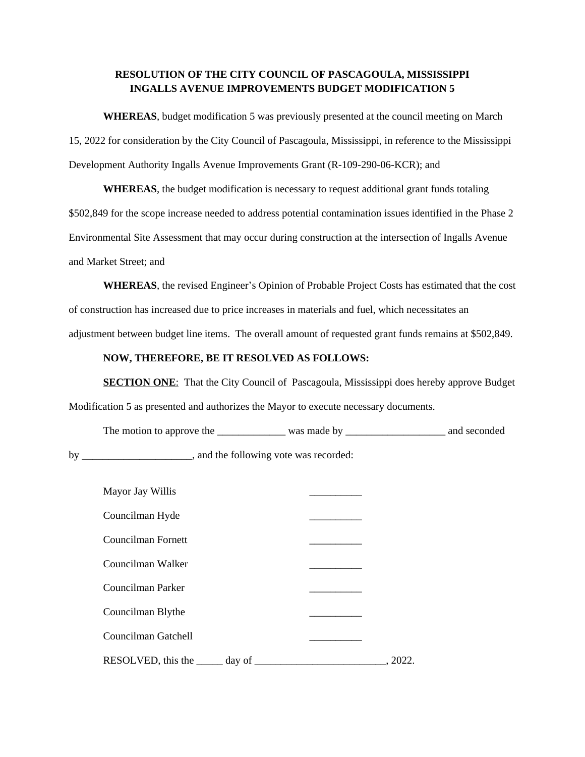## **RESOLUTION OF THE CITY COUNCIL OF PASCAGOULA, MISSISSIPPI INGALLS AVENUE IMPROVEMENTS BUDGET MODIFICATION 5**

**WHEREAS**, budget modification 5 was previously presented at the council meeting on March 15, 2022 for consideration by the City Council of Pascagoula, Mississippi, in reference to the Mississippi Development Authority Ingalls Avenue Improvements Grant (R-109-290-06-KCR); and

**WHEREAS**, the budget modification is necessary to request additional grant funds totaling \$502,849 for the scope increase needed to address potential contamination issues identified in the Phase 2 Environmental Site Assessment that may occur during construction at the intersection of Ingalls Avenue and Market Street; and

**WHEREAS**, the revised Engineer's Opinion of Probable Project Costs has estimated that the cost of construction has increased due to price increases in materials and fuel, which necessitates an adjustment between budget line items. The overall amount of requested grant funds remains at \$502,849.

## **NOW, THEREFORE, BE IT RESOLVED AS FOLLOWS:**

**SECTION ONE:** That the City Council of Pascagoula, Mississippi does hereby approve Budget Modification 5 as presented and authorizes the Mayor to execute necessary documents.

The motion to approve the \_\_\_\_\_\_\_\_\_\_\_\_\_\_\_ was made by \_\_\_\_\_\_\_\_\_\_\_\_\_\_\_\_\_\_\_\_\_\_\_\_\_ and seconded

by \_\_\_\_\_\_\_\_\_\_\_\_\_\_\_\_\_\_\_, and the following vote was recorded:

| Mayor Jay Willis          |  |
|---------------------------|--|
| Councilman Hyde           |  |
| Councilman Fornett        |  |
| Councilman Walker         |  |
| Councilman Parker         |  |
| Councilman Blythe         |  |
| Councilman Gatchell       |  |
| RESOLVED, this the day of |  |